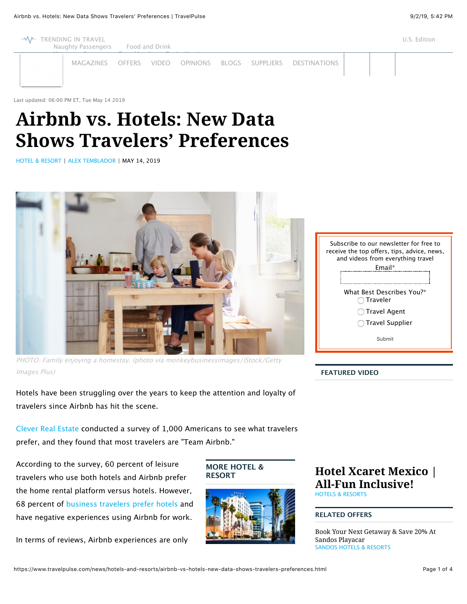

# **Airbnb vs. Hotels: New Data Shows Travelers' Preferences**

[HOTEL & RESORT](https://www.travelpulse.com/news/hotels-and-resorts) | [ALEX TEMBLADOR](https://www.travelpulse.com/bio/alex-temblador) | MAY 14, 2019



PHOTO: Family enjoying a homestay. (photo via monkeybusinessimages/iStock/Getty Images Plus)

Hotels have been struggling over the years to keep the attention and loyalty of travelers since Airbnb has hit the scene.

[Clever Real Estate c](https://listwithclever.com/real-estate-blog/airbnb-vs-hotels-study/)onducted a survey of 1,000 Americans to see what travelers prefer, and they found that most travelers are "Team Airbnb."

According to the survey, 60 percent of leisure travelers who use both hotels and Airbnb prefer the home rental platform versus hotels. However, 68 percent of [business travelers prefer hotels](https://www.travelpulse.com/news/business-travel/the-top-100-corporate-hotels-for-business-travelers-revealed.html) and have negative experiences using Airbnb for work.

In terms of reviews, Airbnb experiences are only

### **MORE HOTEL & RESORT**



# **[Hotel Xcaret Mexico |](https://www.travelpulse.com/videos/hotels-and-resorts/hotel-xcaret-mexico-all-fun-inclusive.html) All-Fun Inclusive!** [HOTELS & RESORTS](https://www.travelpulse.com/videos/hotels-and-resorts)

### **RELATED OFFERS**

[Book Your Next Getaway & Save 20% At](https://www.travelpulse.com/deals/hotels-and-resorts/book-your-next-getaway-save-20percent-at-sandos-playacar.html) Sandos Playacar [SANDOS HOTELS & RESORTS](https://www.travelpulse.com/suppliers/hotels-and-resorts/sandos-hotels-resorts.html)

| Subscribe to our newsletter for free to<br>receive the top offers, tips, advice, news,<br>and videos from everything travel<br>Email* |
|---------------------------------------------------------------------------------------------------------------------------------------|
| What Best Describes You?*<br><b>Traveler</b>                                                                                          |
| <b>Travel Agent</b>                                                                                                                   |
| Travel Supplier                                                                                                                       |
| Submit                                                                                                                                |
|                                                                                                                                       |

### **FEATURED VIDEO**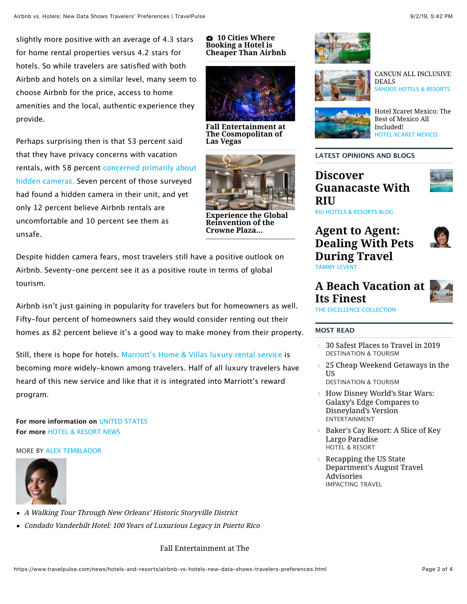slightly more positive with an average of 4.3 stars for home rental properties versus 4.2 stars for hotels. So while travelers are satisfied with both Airbnb and hotels on a similar level, many seem to choose Airbnb for the price, access to home amenities and the local, authentic experience they provide.

Perhaps surprising then is that 53 percent said that they have privacy concerns with vacation [rentals, with 58 percent concerned primarily about](https://www.travelpulse.com/news/destinations/airbnb-under-fire-after-family-finds-hidden-camera.html) hidden cameras. Seven percent of those surveyed had found a hidden camera in their unit, and yet only 12 percent believe Airbnb rentals are uncomfortable and 10 percent see them as unsafe.

**Las Vegas**



**Reinvention of the Crowne Plaza...**

Despite hidden camera fears, most travelers still have a positive outlook on Airbnb. Seventy-one percent see it as a positive route in terms of global tourism.

Airbnb isn't just gaining in popularity for travelers but for homeowners as well. Fifty-four percent of homeowners said they would consider renting out their homes as 82 percent believe it's a good way to make money from their property.

Still, there is hope for hotels. [Marriott's Home & Villas luxury rental service](https://www.travelpulse.com/news/hotels-and-resorts/marriott-international-expands-homesharing-pilot.html) is becoming more widely-known among travelers. Half of all luxury travelers have heard of this new service and like that it is integrated into Marriott's reward program.

**For more information on** [UNITED STATES](https://www.travelpulse.com/destinations/north-america/united-states.html) **For more** [HOTEL & RESORT NEWS](https://www.travelpulse.com/news/hotels-and-resorts)

MORE BY [ALEX TEMBLADOR](https://www.travelpulse.com/bio/alex-temblador)



- [A Walking Tour Through New Orleans' Historic Storyville District](https://www.travelpulse.com/news/tour-operators/a-walking-tour-through-new-orleans-historic-storyville-district.html)
- [Condado Vanderbilt Hotel: 100 Years of Luxurious Legacy in Puerto Rico](https://www.travelpulse.com/news/hotels-and-resorts/condado-vanderbilt-hotel-100-years-of-luxurious-legacy-in-puerto-rico.html)

### [Fall Entertainment at The](https://www.travelpulse.com/news/hotels-and-resorts/fall-entertainment-at-the-cosmopolitan-of-las-vegas.html)

#### **10 Cities Where Booking a Hotel is [Cheaper Than Airbnb](https://www.travelpulse.com/gallery/hotels-and-resorts/10-cities-where-booking-a-hotel-is-cheaper-than-airbnb.html)**



**[Fall Entertainment at](https://www.travelpulse.com/news/hotels-and-resorts/fall-entertainment-at-the-cosmopolitan-of-las-vegas.html) The Cosmopolitan of**



**[Experience the Global](https://www.travelpulse.com/news/hotels-and-resorts/experience-the-global-reinvention-of-the-crowne-plaza-brand-in-atlanta.html)**





[CANCUN ALL INCLUSIVE](https://www.travelpulse.com/deals/hotels-and-resorts/cancun-all-inclusive-deals.html) DEALS [SANDOS HOTELS & RESORTS](https://www.travelpulse.com/suppliers/hotels-and-resorts/sandos-hotels-resorts.html)



[Hotel Xcaret Mexico: The](https://www.travelpulse.com/deals/hotels-and-resorts/hotel-xcaret-mexico-the-best-of-mexico-all-included.html) Best of Mexico All Included! [HOTEL XCARET MEXICO](https://www.travelpulse.com/suppliers/hotels-and-resorts/hotel-xcaret-mexico.html)

### **LATEST OPINIONS AND BLOGS**

**Discover [Guanacaste With](https://www.travelpulse.com/opinions/blog/discover-guanacaste-with-riu.html) RIU**



[RIU HOTELS & RESORTS BLOG](https://www.travelpulse.com/bio/riu-hotels-resorts-blog)

# **Agent to Agent: [Dealing With Pets](https://www.travelpulse.com/opinions/column/agent-to-agent-dealing-with-pets-during-travel.html) During Travel** [TAMMY LEVENT](https://www.travelpulse.com/bio/tammy-levent)



# **[A Beach Vacation at](https://www.travelpulse.com/opinions/blog/a-beach-vacation-at-its-finest.html) Its Finest** [THE EXCELLENCE COLLECTION](https://www.travelpulse.com/bio/the-excellence-collection)

### **MOST READ**

- <sup>1</sup> [30 Safest Places to Travel in 2019](https://www.travelpulse.com/news/destinations/30-safest-places-to-travel-in-2019.html) DESTINATION & TOURISM
- <sup>2</sup> [25 Cheap Weekend Getaways in the](https://www.travelpulse.com/news/destinations/25-cheap-weekend-getaways-in-the-us.html) US
	- DESTINATION & TOURISM
- <sup>3</sup> [How Disney World's Star Wars:](https://www.travelpulse.com/news/entertainment/how-disney-worlds-star-wars-galaxys-edge-compares-to-disneylands-version.html) Galaxy's Edge Compares to Disneyland's Version ENTERTAINMENT
- <sup>4</sup> [Baker's Cay Resort: A Slice of Key](https://www.travelpulse.com/news/hotels-and-resorts/bakers-cay-resort-a-slice-of-key-largo-paradise.html) Largo Paradise HOTEL & RESORT
- <sup>5</sup> Recapping the US State [Department's August Travel](https://www.travelpulse.com/news/impacting-travel/recapping-the-us-state-departments-august-travel-advisories.html) Advisories IMPACTING TRAVEL